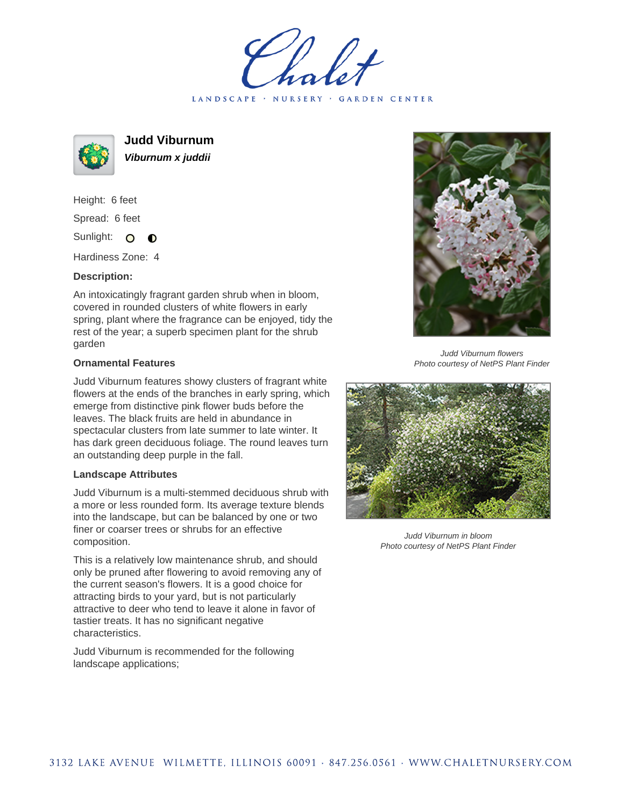LANDSCAPE · NURSERY · GARDEN CENTER



**Judd Viburnum Viburnum x juddii**

Height: 6 feet Spread: 6 feet Sunlight: O  $\bullet$ 

Hardiness Zone: 4

## **Description:**

An intoxicatingly fragrant garden shrub when in bloom, covered in rounded clusters of white flowers in early spring, plant where the fragrance can be enjoyed, tidy the rest of the year; a superb specimen plant for the shrub garden

## **Ornamental Features**

Judd Viburnum features showy clusters of fragrant white flowers at the ends of the branches in early spring, which emerge from distinctive pink flower buds before the leaves. The black fruits are held in abundance in spectacular clusters from late summer to late winter. It has dark green deciduous foliage. The round leaves turn an outstanding deep purple in the fall.

## **Landscape Attributes**

Judd Viburnum is a multi-stemmed deciduous shrub with a more or less rounded form. Its average texture blends into the landscape, but can be balanced by one or two finer or coarser trees or shrubs for an effective composition.

This is a relatively low maintenance shrub, and should only be pruned after flowering to avoid removing any of the current season's flowers. It is a good choice for attracting birds to your yard, but is not particularly attractive to deer who tend to leave it alone in favor of tastier treats. It has no significant negative characteristics.

Judd Viburnum is recommended for the following landscape applications;



Judd Viburnum flowers Photo courtesy of NetPS Plant Finder



Judd Viburnum in bloom Photo courtesy of NetPS Plant Finder